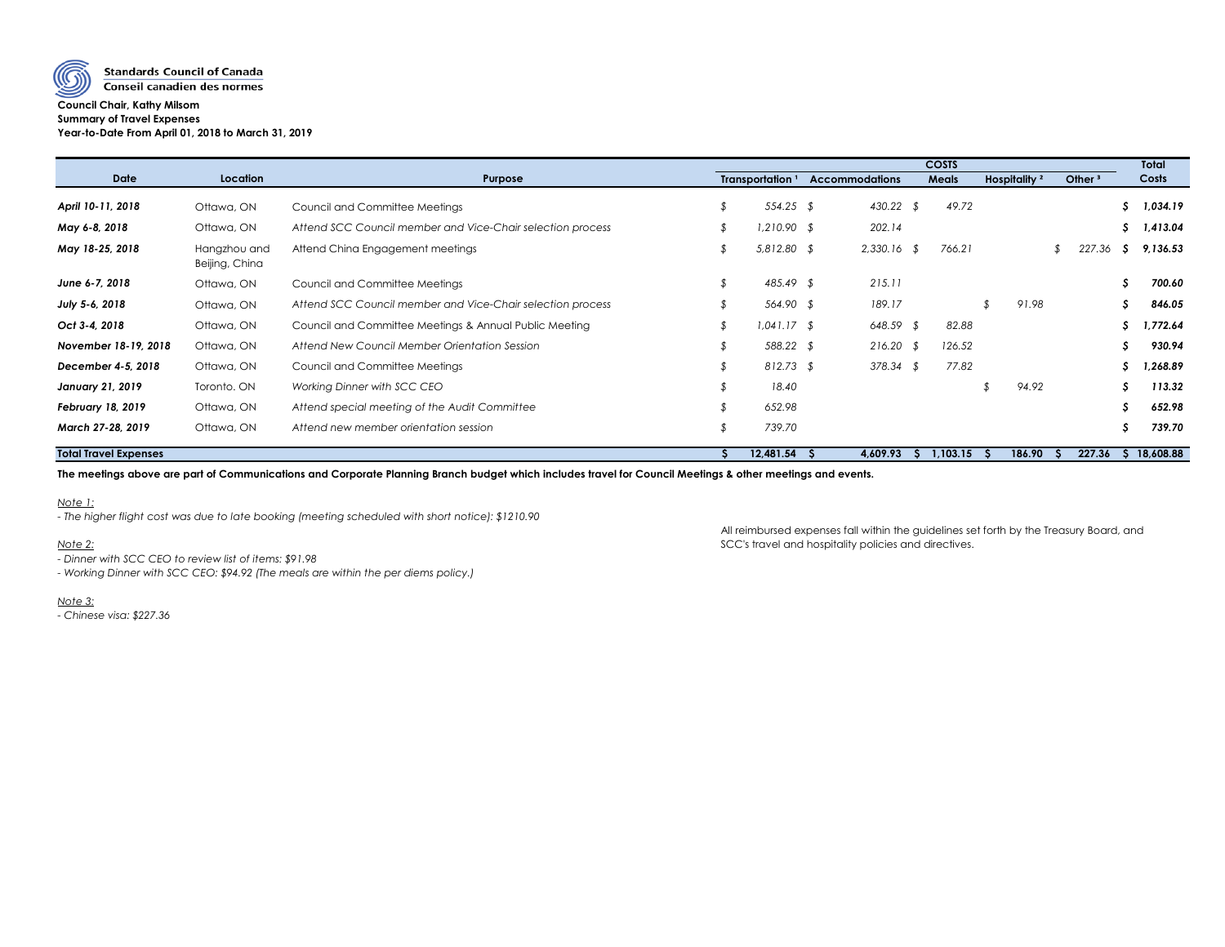

#### **Council Chair, Kathy Milsom Summary of Travel Expenses Year-to-Date From April 01, 2018 to March 31, 2019**

|                              |                                |                                                            | <b>COSTS</b> |                             |  |                       |          |              |                          |  |           | <b>Total</b> |             |
|------------------------------|--------------------------------|------------------------------------------------------------|--------------|-----------------------------|--|-----------------------|----------|--------------|--------------------------|--|-----------|--------------|-------------|
| <b>Date</b>                  | Location                       | Purpose                                                    |              | Transportation <sup>1</sup> |  | <b>Accommodations</b> |          | <b>Meals</b> | Hospitality <sup>2</sup> |  | Other $3$ |              | Costs       |
| April 10-11, 2018            | Ottawa, ON                     | Council and Committee Meetings                             |              | 554.25 \$                   |  | 430.22 \$             |          | 49.72        |                          |  |           | S            | 1,034.19    |
| May 6-8, 2018                | Ottawa, ON                     | Attend SCC Council member and Vice-Chair selection process |              | $1,210.90$ \$               |  | 202.14                |          |              |                          |  |           | S            | 1,413.04    |
| May 18-25, 2018              | Hangzhou and<br>Beijing, China | Attend China Engagement meetings                           |              | $5,812.80$ \$               |  | $2,330.16$ \$         |          | 766.21       |                          |  | 227.36    | .S           | 9,136.53    |
| June 6-7, 2018               | Ottawa, ON                     | Council and Committee Meetings                             |              | 485.49 \$                   |  | 215.11                |          |              |                          |  |           | S            | 700.60      |
| July 5-6, 2018               | Ottawa, ON                     | Attend SCC Council member and Vice-Chair selection process |              | 564.90 \$                   |  | 189.17                |          |              | 91.98                    |  |           | S            | 846.05      |
| Oct 3-4, 2018                | Ottawa, ON                     | Council and Committee Meetings & Annual Public Meeting     |              | $1,041.17$ \$               |  | $648.59$ \$           |          | 82.88        |                          |  |           |              | 1,772.64    |
| November 18-19, 2018         | Ottawa, ON                     | Attend New Council Member Orientation Session              |              | 588.22 \$                   |  | $216.20$ \$           |          | 126.52       |                          |  |           | S            | 930.94      |
| December 4-5, 2018           | Ottawa, ON                     | Council and Committee Meetings                             |              | $812.73$ \$                 |  | $378.34$ \$           |          | 77.82        |                          |  |           |              | 1,268.89    |
| <b>January 21, 2019</b>      | Toronto. ON                    | Working Dinner with SCC CEO                                |              | 18.40                       |  |                       |          |              | 94.92                    |  |           | S            | 113.32      |
| <b>February 18, 2019</b>     | Ottawa, ON                     | Attend special meeting of the Audit Committee              |              | 652.98                      |  |                       |          |              |                          |  |           | S            | 652.98      |
| March 27-28, 2019            | Ottawa, ON                     | Attend new member orientation session                      |              | 739.70                      |  |                       |          |              |                          |  |           | S            | 739.70      |
| <b>Total Travel Expenses</b> |                                |                                                            |              | 12,481.54                   |  | 4,609.93              | $\Delta$ | 1,103.15     | 186.90<br>-5             |  | 227.36    |              | \$18,608.88 |

**The meetings above are part of Communications and Corporate Planning Branch budget which includes travel for Council Meetings & other meetings and events.**

*Note 1:*

*- The higher flight cost was due to late booking (meeting scheduled with short notice): \$1210.90*

All reimbursed expenses fall within the guidelines set forth by the Treasury Board, and *Note 2:* SCC's travel and hospitality policies and directives.

*- Dinner with SCC CEO to review list of items: \$91.98*

*- Working Dinner with SCC CEO: \$94.92 (The meals are within the per diems policy.)*

*Note 3:*

*- Chinese visa: \$227.36*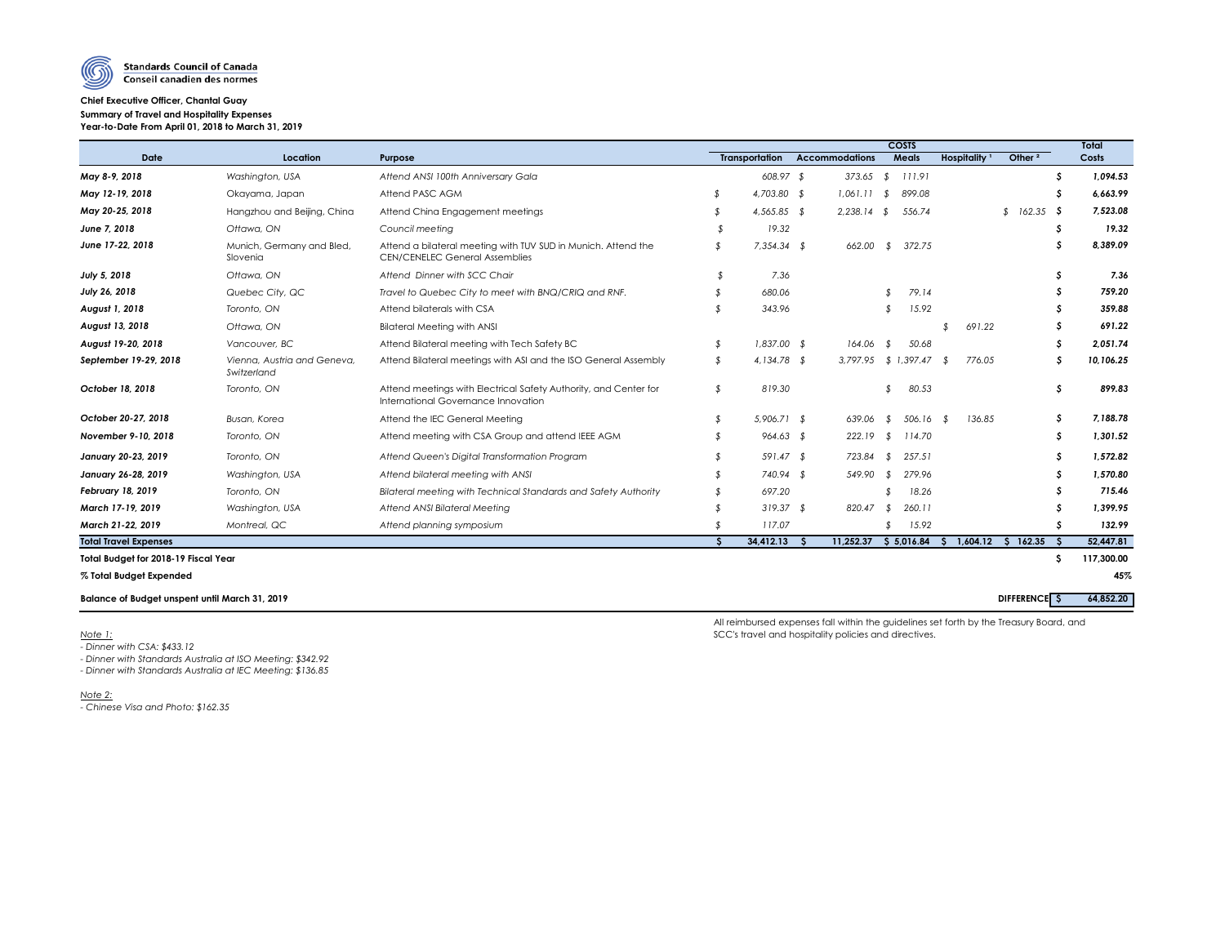

## **Chief Executive Officer, Chantal Guay Summary of Travel and Hospitality Expenses Year-to-Date From April 01, 2018 to March 31, 2019**

|                                                       |                                            |                                                                                                         |                    | <b>COSTS</b>          |  |                           |               |              |                          |  |                     |    |            |  |
|-------------------------------------------------------|--------------------------------------------|---------------------------------------------------------------------------------------------------------|--------------------|-----------------------|--|---------------------------|---------------|--------------|--------------------------|--|---------------------|----|------------|--|
| <b>Date</b>                                           | <b>Location</b>                            | <b>Purpose</b>                                                                                          |                    | <b>Transportation</b> |  | <b>Accommodations</b>     |               | <b>Meals</b> | Hospitality <sup>1</sup> |  | Other $2$           |    | Costs      |  |
| May 8-9, 2018                                         | Washington, USA                            | Attend ANSI 100th Anniversary Gala                                                                      |                    | $608.97$ \$           |  | 373.65                    | $\sqrt[6]{}$  | 111.91       |                          |  |                     |    | 1,094.53   |  |
| May 12-19, 2018                                       | Okayama, Japan                             | Attend PASC AGM                                                                                         |                    | 4,703.80 \$           |  | 1,061.11                  | - \$          | 899.08       |                          |  |                     |    | 6,663.99   |  |
| May 20-25, 2018                                       | Hangzhou and Beijing, China                | Attend China Engagement meetings                                                                        |                    | $4,565.85$ \$         |  | 2,238.14                  | - \$          | 556.74       |                          |  | $$162.35$ \$        |    | 7,523.08   |  |
| June 7, 2018                                          | Ottawa, ON                                 | Council meeting                                                                                         |                    | 19.32                 |  |                           |               |              |                          |  |                     |    | 19.32      |  |
| June 17-22, 2018                                      | Munich, Germany and Bled,<br>Slovenia      | Attend a bilateral meeting with TUV SUD in Munich. Attend the<br><b>CEN/CENELEC General Assemblies</b>  |                    | $7,354.34$ \$         |  | 662.00                    | \$            | 372.75       |                          |  |                     |    | 8,389.09   |  |
| July 5, 2018                                          | Ottawa, ON                                 | Attend Dinner with SCC Chair                                                                            |                    | 7.36                  |  |                           |               |              |                          |  |                     |    | 7.36       |  |
| July 26, 2018                                         | Quebec City, QC                            | Travel to Quebec City to meet with BNQ/CRIQ and RNF.                                                    |                    | 680.06                |  |                           |               | 79.14        |                          |  |                     |    | 759.20     |  |
| August 1, 2018                                        | Toronto, ON                                | Attend bilaterals with CSA                                                                              |                    | 343.96                |  |                           |               | 15.92        |                          |  |                     |    | 359.88     |  |
| August 13, 2018                                       | Ottawa, ON                                 | <b>Bilateral Meeting with ANSI</b>                                                                      |                    |                       |  |                           |               |              | 691.22                   |  |                     |    | 691.22     |  |
| August 19-20, 2018                                    | Vancouver, BC                              | Attend Bilateral meeting with Tech Safety BC                                                            |                    | $1,837.00$ \$         |  | 164.06                    |               | 50.68        |                          |  |                     |    | 2,051.74   |  |
| September 19-29, 2018                                 | Vienna, Austria and Geneva,<br>Switzerland | Attend Bilateral meetings with ASI and the ISO General Assembly                                         |                    | 4,134.78 $$$          |  | $3,797.95$ \$ 1,397.47 \$ |               |              | 776.05                   |  |                     |    | 10,106.25  |  |
| October 18, 2018                                      | Toronto, ON                                | Attend meetings with Electrical Safety Authority, and Center for<br>International Governance Innovation |                    | 819.30                |  |                           |               | 80.53        |                          |  |                     |    | 899.83     |  |
| October 20-27, 2018                                   | Busan, Korea                               | Attend the IEC General Meeting                                                                          |                    | $5,906.71$ \$         |  | 639.06                    | \$            | $506.16$ \$  | 136.85                   |  |                     |    | 7,188.78   |  |
| November 9-10, 2018                                   | Toronto, ON                                | Attend meeting with CSA Group and attend IEEE AGM                                                       |                    | $964.63$ \$           |  | 222.19                    | $\mathcal{F}$ | 114.70       |                          |  |                     |    | 1,301.52   |  |
| January 20-23, 2019                                   | Toronto, ON                                | Attend Queen's Digital Transformation Program                                                           |                    | $591.47$ \$           |  | 723.84                    | \$            | 257.51       |                          |  |                     |    | 1,572.82   |  |
| <b>January 26-28, 2019</b>                            | Washington, USA                            | Attend bilateral meeting with ANSI                                                                      |                    | 740.94 \$             |  | 549.90                    | - \$          | 279.96       |                          |  |                     |    | 1,570.80   |  |
| <b>February 18, 2019</b>                              | Toronto, ON                                | Bilateral meeting with Technical Standards and Safety Authority                                         |                    | 697.20                |  |                           |               | 18.26        |                          |  |                     |    | 715.46     |  |
| March 17-19, 2019                                     | Washington, USA                            | <b>Attend ANSI Bilateral Meeting</b>                                                                    |                    | $319.37$ \$           |  | 820.47                    | - \$          | 260.11       |                          |  |                     |    | 1,399.95   |  |
| March 21-22, 2019                                     | Montreal, QC                               | Attend planning symposium                                                                               |                    | 117.07                |  |                           |               | 15.92        |                          |  |                     |    | 132.99     |  |
| <b>Total Travel Expenses</b>                          |                                            |                                                                                                         | $\mathbf{\hat{S}}$ | 34,412.13             |  | 11,252.37                 |               | \$5,016.84   | 1,604.12<br>S.           |  | 162.35<br>S.        | -S | 52,447.81  |  |
| <b>Total Budget for 2018-19 Fiscal Year</b>           |                                            |                                                                                                         |                    |                       |  |                           |               |              |                          |  |                     | -S | 117,300.00 |  |
| % Total Budget Expended                               |                                            |                                                                                                         |                    |                       |  |                           |               |              |                          |  |                     |    | 45%        |  |
| <b>Balance of Budget unspent until March 31, 2019</b> |                                            |                                                                                                         |                    |                       |  |                           |               |              |                          |  | <b>DIFFERENCE</b> S |    | 64,852.20  |  |
|                                                       |                                            |                                                                                                         |                    |                       |  |                           |               |              |                          |  |                     |    |            |  |

All reimbursed expenses fall within the guidelines set forth by the Treasury Board, and *Note 1:* SCC's travel and hospitality policies and directives.

*- Dinner with CSA: \$433.12*

*- Dinner with Standards Australia at ISO Meeting: \$342.92*

*- Dinner with Standards Australia at IEC Meeting: \$136.85*

*Note 2:*

*- Chinese Visa and Photo: \$162.35*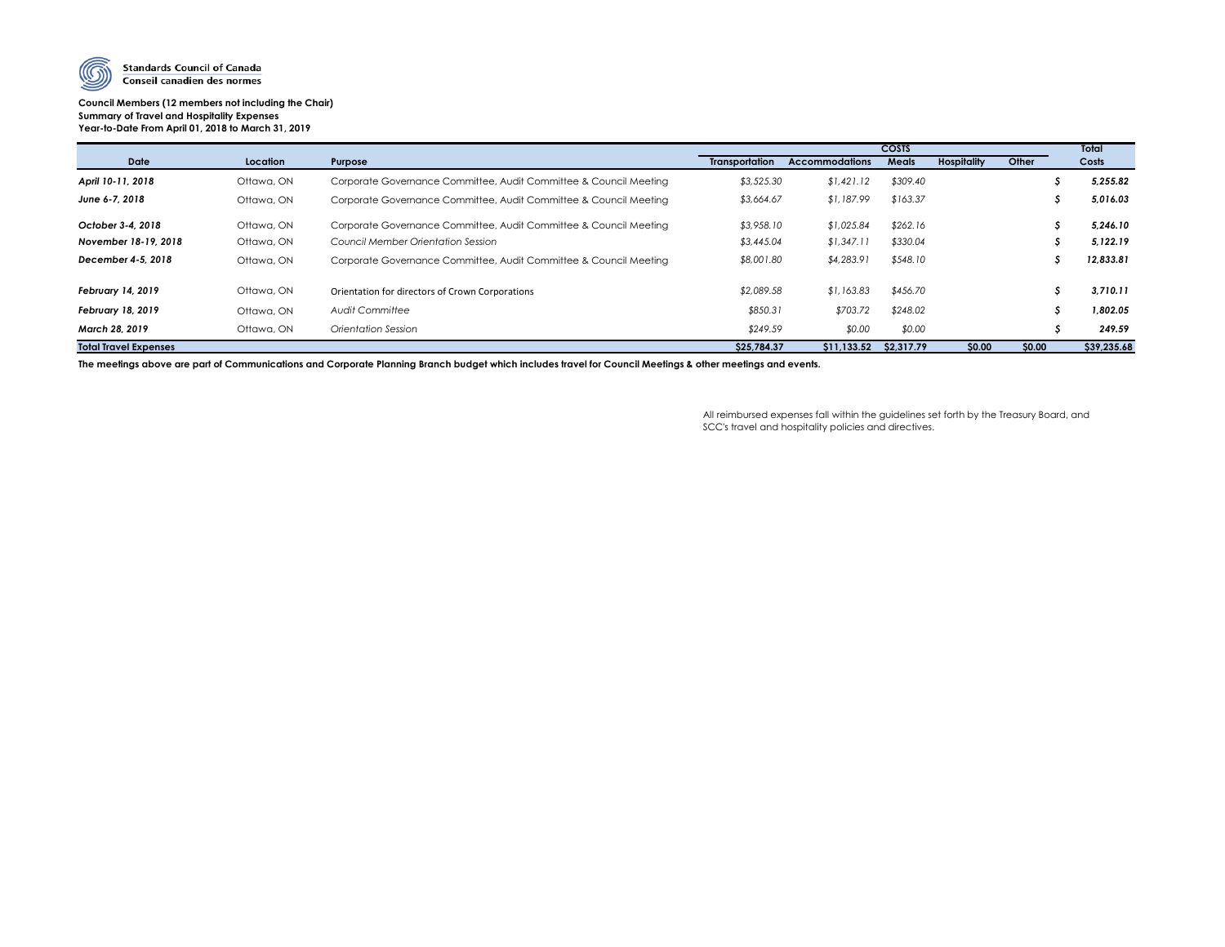

### **Council Members (12 members not including the Chair) Summary of Travel and Hospitality Expenses Year-to-Date From April 01, 2018 to March 31, 2019**

|                              |            |                                                                   |                       |                       | Total        |                    |        |             |
|------------------------------|------------|-------------------------------------------------------------------|-----------------------|-----------------------|--------------|--------------------|--------|-------------|
| <b>Date</b>                  | Location   | Purpose                                                           | <b>Transportation</b> | <b>Accommodations</b> | <b>Meals</b> | <b>Hospitality</b> | Other  | Costs       |
| April 10-11, 2018            | Ottawa, ON | Corporate Governance Committee, Audit Committee & Council Meeting | \$3,525.30            | \$1,421.12            | \$309.40     |                    |        | 5,255.82    |
| June 6-7, 2018               | Ottawa, ON | Corporate Governance Committee, Audit Committee & Council Meeting | \$3,664.67            | \$1,187.99            | \$163.37     |                    |        | 5,016.03    |
| October 3-4, 2018            | Ottawa, ON | Corporate Governance Committee, Audit Committee & Council Meeting | \$3,958.10            | \$1,025.84            | \$262.16     |                    |        | 5,246.10    |
| November 18-19, 2018         | Ottawa, ON | Council Member Orientation Session                                | \$3,445.04            | \$1,347.11            | \$330.04     |                    |        | 5,122.19    |
| December 4-5, 2018           | Ottawa, ON | Corporate Governance Committee, Audit Committee & Council Meeting | \$8,001.80            | \$4,283.91            | \$548.10     |                    |        | 12,833.81   |
| <b>February 14, 2019</b>     | Ottawa, ON | Orientation for directors of Crown Corporations                   | \$2,089.58            | \$1,163.83            | \$456.70     |                    |        | 3,710.11    |
| <b>February 18, 2019</b>     | Ottawa, ON | <b>Audit Committee</b>                                            | \$850.31              | \$703.72              | \$248.02     |                    |        | 1,802.05    |
| March 28, 2019               | Ottawa, ON | <b>Orientation Session</b>                                        | \$249.59              | \$0.00                | \$0.00       |                    |        | 249.59      |
| <b>Total Travel Expenses</b> |            |                                                                   | \$25,784.37           | \$11,133.52           | \$2,317.79   | \$0.00             | \$0.00 | \$39,235.68 |

**The meetings above are part of Communications and Corporate Planning Branch budget which includes travel for Council Meetings & other meetings and events.**

All reimbursed expenses fall within the guidelines set forth by the Treasury Board, and SCC's travel and hospitality policies and directives.